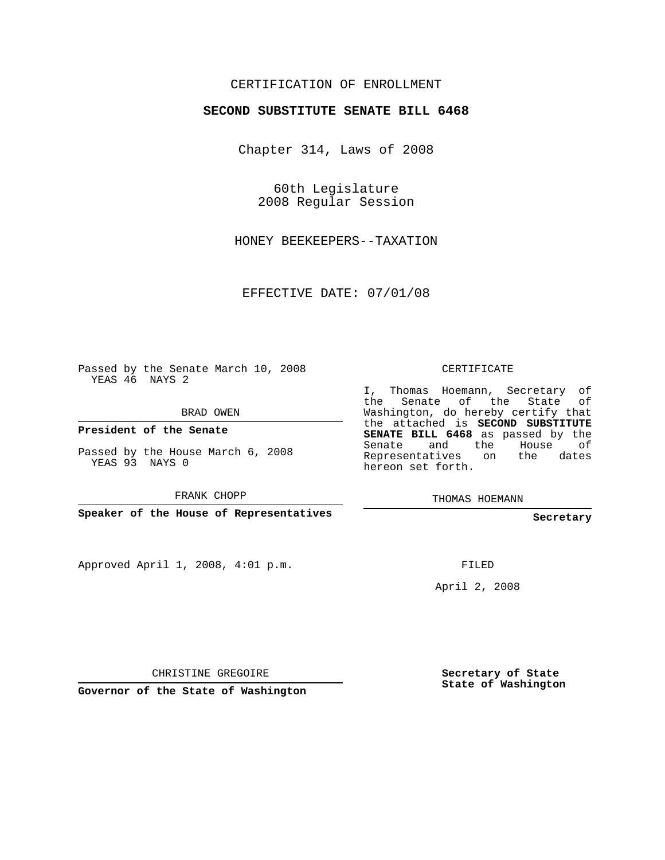## CERTIFICATION OF ENROLLMENT

## **SECOND SUBSTITUTE SENATE BILL 6468**

Chapter 314, Laws of 2008

60th Legislature 2008 Regular Session

HONEY BEEKEEPERS--TAXATION

EFFECTIVE DATE: 07/01/08

Passed by the Senate March 10, 2008 YEAS 46 NAYS 2

BRAD OWEN

**President of the Senate**

Passed by the House March 6, 2008 YEAS 93 NAYS 0

FRANK CHOPP

**Speaker of the House of Representatives**

Approved April 1, 2008, 4:01 p.m.

CERTIFICATE

I, Thomas Hoemann, Secretary of the Senate of the State of Washington, do hereby certify that the attached is **SECOND SUBSTITUTE SENATE BILL 6468** as passed by the Senate and the House of Representatives on the dates hereon set forth.

THOMAS HOEMANN

**Secretary**

FILED

April 2, 2008

CHRISTINE GREGOIRE

**Governor of the State of Washington**

**Secretary of State State of Washington**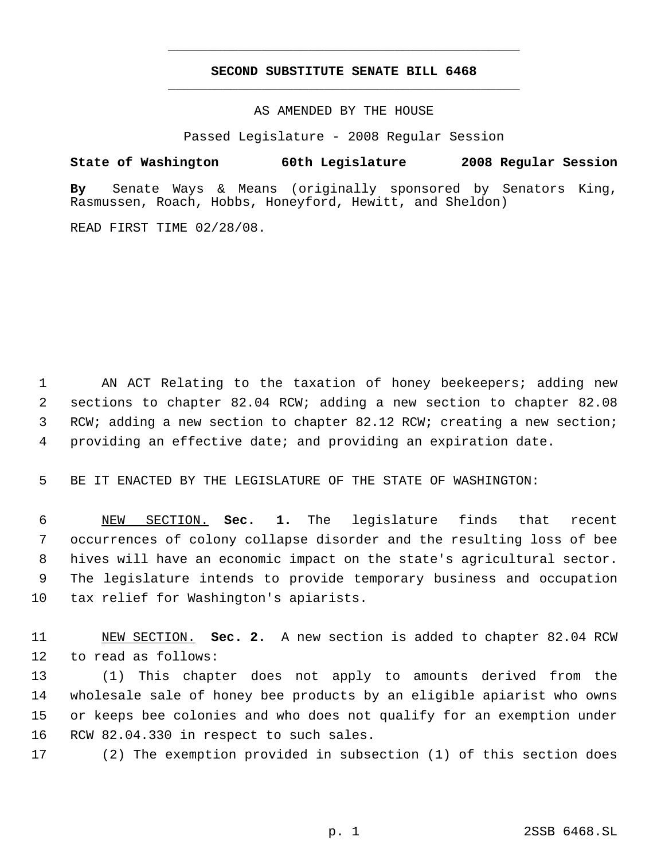## **SECOND SUBSTITUTE SENATE BILL 6468** \_\_\_\_\_\_\_\_\_\_\_\_\_\_\_\_\_\_\_\_\_\_\_\_\_\_\_\_\_\_\_\_\_\_\_\_\_\_\_\_\_\_\_\_\_

\_\_\_\_\_\_\_\_\_\_\_\_\_\_\_\_\_\_\_\_\_\_\_\_\_\_\_\_\_\_\_\_\_\_\_\_\_\_\_\_\_\_\_\_\_

AS AMENDED BY THE HOUSE

Passed Legislature - 2008 Regular Session

**State of Washington 60th Legislature 2008 Regular Session**

**By** Senate Ways & Means (originally sponsored by Senators King, Rasmussen, Roach, Hobbs, Honeyford, Hewitt, and Sheldon)

READ FIRST TIME 02/28/08.

 AN ACT Relating to the taxation of honey beekeepers; adding new sections to chapter 82.04 RCW; adding a new section to chapter 82.08 3 RCW; adding a new section to chapter 82.12 RCW; creating a new section; providing an effective date; and providing an expiration date.

5 BE IT ENACTED BY THE LEGISLATURE OF THE STATE OF WASHINGTON:

 NEW SECTION. **Sec. 1.** The legislature finds that recent occurrences of colony collapse disorder and the resulting loss of bee hives will have an economic impact on the state's agricultural sector. The legislature intends to provide temporary business and occupation tax relief for Washington's apiarists.

11 NEW SECTION. **Sec. 2.** A new section is added to chapter 82.04 RCW 12 to read as follows:

 (1) This chapter does not apply to amounts derived from the wholesale sale of honey bee products by an eligible apiarist who owns or keeps bee colonies and who does not qualify for an exemption under RCW 82.04.330 in respect to such sales.

17 (2) The exemption provided in subsection (1) of this section does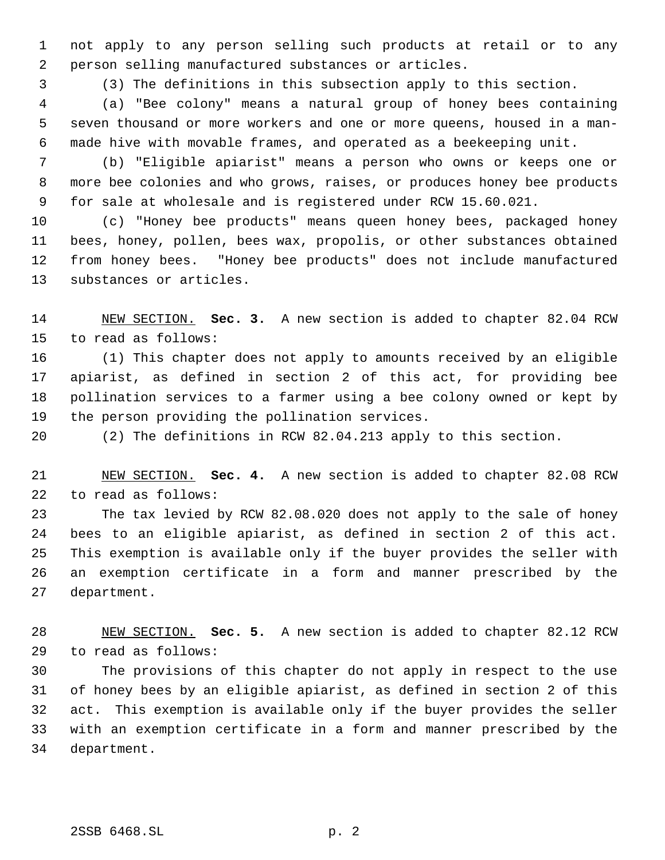not apply to any person selling such products at retail or to any person selling manufactured substances or articles.

(3) The definitions in this subsection apply to this section.

 (a) "Bee colony" means a natural group of honey bees containing seven thousand or more workers and one or more queens, housed in a man- made hive with movable frames, and operated as a beekeeping unit.

 (b) "Eligible apiarist" means a person who owns or keeps one or more bee colonies and who grows, raises, or produces honey bee products for sale at wholesale and is registered under RCW 15.60.021.

 (c) "Honey bee products" means queen honey bees, packaged honey bees, honey, pollen, bees wax, propolis, or other substances obtained from honey bees. "Honey bee products" does not include manufactured substances or articles.

 NEW SECTION. **Sec. 3.** A new section is added to chapter 82.04 RCW to read as follows:

 (1) This chapter does not apply to amounts received by an eligible apiarist, as defined in section 2 of this act, for providing bee pollination services to a farmer using a bee colony owned or kept by the person providing the pollination services.

(2) The definitions in RCW 82.04.213 apply to this section.

 NEW SECTION. **Sec. 4.** A new section is added to chapter 82.08 RCW to read as follows:

 The tax levied by RCW 82.08.020 does not apply to the sale of honey bees to an eligible apiarist, as defined in section 2 of this act. This exemption is available only if the buyer provides the seller with an exemption certificate in a form and manner prescribed by the department.

 NEW SECTION. **Sec. 5.** A new section is added to chapter 82.12 RCW to read as follows:

 The provisions of this chapter do not apply in respect to the use of honey bees by an eligible apiarist, as defined in section 2 of this act. This exemption is available only if the buyer provides the seller with an exemption certificate in a form and manner prescribed by the department.